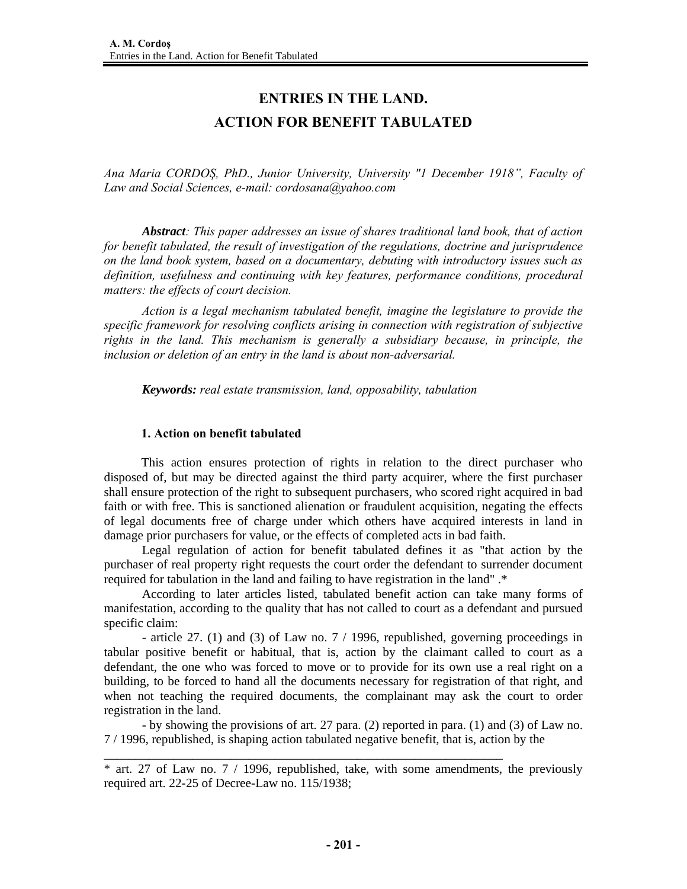## **ENTRIES IN THE LAND. ACTION FOR BENEFIT TABULATED**

*Ana Maria CORDOŞ, PhD., Junior University, University "1 December 1918", Faculty of Law and Social Sciences, e-mail: cordosana@yahoo.com* 

*Abstract: This paper addresses an issue of shares traditional land book, that of action for benefit tabulated, the result of investigation of the regulations, doctrine and jurisprudence on the land book system, based on a documentary, debuting with introductory issues such as definition, usefulness and continuing with key features, performance conditions, procedural matters: the effects of court decision.* 

*Action is a legal mechanism tabulated benefit, imagine the legislature to provide the specific framework for resolving conflicts arising in connection with registration of subjective rights in the land. This mechanism is generally a subsidiary because, in principle, the inclusion or deletion of an entry in the land is about non-adversarial.* 

*Keywords: real estate transmission, land, opposability, tabulation* 

## **1. Action on benefit tabulated**

This action ensures protection of rights in relation to the direct purchaser who disposed of, but may be directed against the third party acquirer, where the first purchaser shall ensure protection of the right to subsequent purchasers, who scored right acquired in bad faith or with free. This is sanctioned alienation or fraudulent acquisition, negating the effects of legal documents free of charge under which others have acquired interests in land in damage prior purchasers for value, or the effects of completed acts in bad faith.

 Legal regulation of action for benefit tabulated defines it as "that action by the purchaser of real property right requests the court order the defendant to surrender document required for tabulation in the land and failing to have registration in the land" .\*

 According to later articles listed, tabulated benefit action can take many forms of manifestation, according to the quality that has not called to court as a defendant and pursued specific claim:

 - article 27. (1) and (3) of Law no. 7 / 1996, republished, governing proceedings in tabular positive benefit or habitual, that is, action by the claimant called to court as a defendant, the one who was forced to move or to provide for its own use a real right on a building, to be forced to hand all the documents necessary for registration of that right, and when not teaching the required documents, the complainant may ask the court to order registration in the land.

 - by showing the provisions of art. 27 para. (2) reported in para. (1) and (3) of Law no. 7 / 1996, republished, is shaping action tabulated negative benefit, that is, action by the

\_\_\_\_\_\_\_\_\_\_\_\_\_\_\_\_\_\_\_\_\_\_\_\_\_\_\_\_\_\_\_\_\_\_\_\_\_\_\_\_\_\_\_\_\_\_\_\_\_\_\_\_\_\_\_\_\_\_\_\_\_\_\_

<sup>\*</sup> art. 27 of Law no. 7 / 1996, republished, take, with some amendments, the previously required art. 22-25 of Decree-Law no. 115/1938;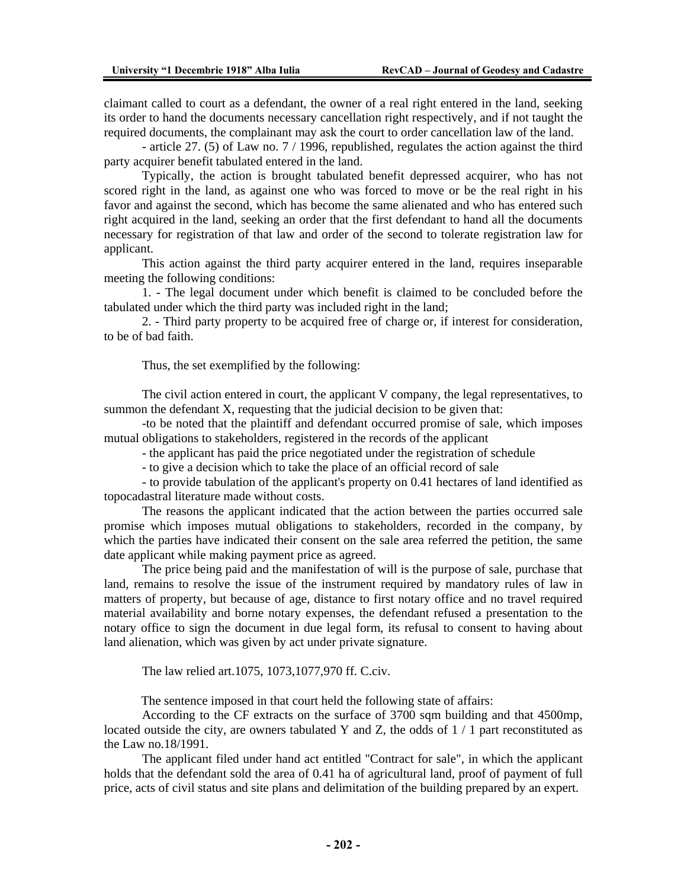claimant called to court as a defendant, the owner of a real right entered in the land, seeking its order to hand the documents necessary cancellation right respectively, and if not taught the required documents, the complainant may ask the court to order cancellation law of the land.

 - article 27. (5) of Law no. 7 / 1996, republished, regulates the action against the third party acquirer benefit tabulated entered in the land.

 Typically, the action is brought tabulated benefit depressed acquirer, who has not scored right in the land, as against one who was forced to move or be the real right in his favor and against the second, which has become the same alienated and who has entered such right acquired in the land, seeking an order that the first defendant to hand all the documents necessary for registration of that law and order of the second to tolerate registration law for applicant.

 This action against the third party acquirer entered in the land, requires inseparable meeting the following conditions:

 1. - The legal document under which benefit is claimed to be concluded before the tabulated under which the third party was included right in the land;

 2. - Third party property to be acquired free of charge or, if interest for consideration, to be of bad faith.

Thus, the set exemplified by the following:

 The civil action entered in court, the applicant V company, the legal representatives, to summon the defendant X, requesting that the judicial decision to be given that:

 -to be noted that the plaintiff and defendant occurred promise of sale, which imposes mutual obligations to stakeholders, registered in the records of the applicant

- the applicant has paid the price negotiated under the registration of schedule

- to give a decision which to take the place of an official record of sale

 - to provide tabulation of the applicant's property on 0.41 hectares of land identified as topocadastral literature made without costs.

 The reasons the applicant indicated that the action between the parties occurred sale promise which imposes mutual obligations to stakeholders, recorded in the company, by which the parties have indicated their consent on the sale area referred the petition, the same date applicant while making payment price as agreed.

 The price being paid and the manifestation of will is the purpose of sale, purchase that land, remains to resolve the issue of the instrument required by mandatory rules of law in matters of property, but because of age, distance to first notary office and no travel required material availability and borne notary expenses, the defendant refused a presentation to the notary office to sign the document in due legal form, its refusal to consent to having about land alienation, which was given by act under private signature.

The law relied art.1075, 1073,1077,970 ff. C.civ.

The sentence imposed in that court held the following state of affairs:

 According to the CF extracts on the surface of 3700 sqm building and that 4500mp, located outside the city, are owners tabulated Y and Z, the odds of  $1/1$  part reconstituted as the Law no.18/1991.

 The applicant filed under hand act entitled "Contract for sale", in which the applicant holds that the defendant sold the area of 0.41 ha of agricultural land, proof of payment of full price, acts of civil status and site plans and delimitation of the building prepared by an expert.